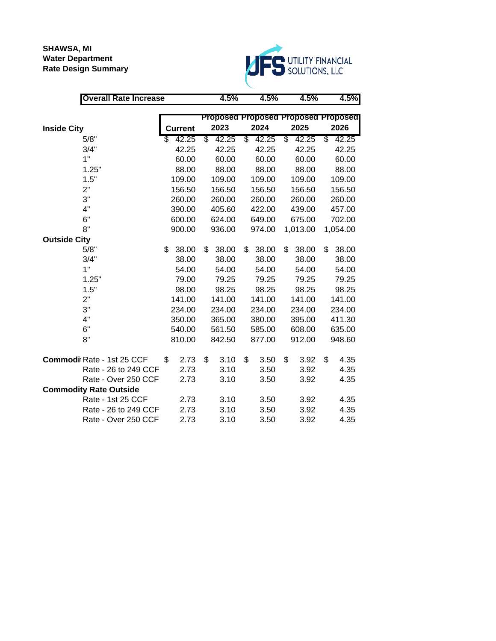# **SHAWSA, MI Water Department Rate Design Summary**



| <b>Overall Rate Increase</b>  |                | 4.5%        | 4.5%                                | 4.5%        | 4.5%        |
|-------------------------------|----------------|-------------|-------------------------------------|-------------|-------------|
|                               |                |             |                                     |             |             |
|                               |                |             | Proposed Proposed Proposed Proposed |             |             |
| <b>Inside City</b>            | <b>Current</b> | 2023        | 2024                                | 2025        | 2026        |
| 5/8"                          | \$<br>42.25    | \$<br>42.25 | \$<br>42.25                         | \$<br>42.25 | \$<br>42.25 |
| 3/4"                          | 42.25          | 42.25       | 42.25                               | 42.25       | 42.25       |
| 1"                            | 60.00          | 60.00       | 60.00                               | 60.00       | 60.00       |
| 1.25"                         | 88.00          | 88.00       | 88.00                               | 88.00       | 88.00       |
| 1.5"                          | 109.00         | 109.00      | 109.00                              | 109.00      | 109.00      |
| 2"                            | 156.50         | 156.50      | 156.50                              | 156.50      | 156.50      |
| 3"                            | 260.00         | 260.00      | 260.00                              | 260.00      | 260.00      |
| 4"                            | 390.00         | 405.60      | 422.00                              | 439.00      | 457.00      |
| 6"                            | 600.00         | 624.00      | 649.00                              | 675.00      | 702.00      |
| 8"                            | 900.00         | 936.00      | 974.00                              | 1,013.00    | 1,054.00    |
| <b>Outside City</b>           |                |             |                                     |             |             |
| 5/8"                          | \$<br>38.00    | \$<br>38.00 | 38.00<br>\$                         | \$<br>38.00 | \$<br>38.00 |
| 3/4"                          | 38.00          | 38.00       | 38.00                               | 38.00       | 38.00       |
| 1"                            | 54.00          | 54.00       | 54.00                               | 54.00       | 54.00       |
| 1.25"                         | 79.00          | 79.25       | 79.25                               | 79.25       | 79.25       |
| 1.5"                          | 98.00          | 98.25       | 98.25                               | 98.25       | 98.25       |
| 2"                            | 141.00         | 141.00      | 141.00                              | 141.00      | 141.00      |
| 3"                            | 234.00         | 234.00      | 234.00                              | 234.00      | 234.00      |
| 4"                            | 350.00         | 365.00      | 380.00                              | 395.00      | 411.30      |
| 6"                            | 540.00         | 561.50      | 585.00                              | 608.00      | 635.00      |
| 8"                            | 810.00         | 842.50      | 877.00                              | 912.00      | 948.60      |
| Commodi Rate - 1st 25 CCF     | \$<br>2.73     | \$<br>3.10  | \$<br>3.50                          | \$<br>3.92  | \$<br>4.35  |
| Rate - 26 to 249 CCF          | 2.73           | 3.10        | 3.50                                | 3.92        | 4.35        |
| Rate - Over 250 CCF           | 2.73           | 3.10        | 3.50                                | 3.92        | 4.35        |
| <b>Commodity Rate Outside</b> |                |             |                                     |             |             |
| Rate - 1st 25 CCF             | 2.73           | 3.10        | 3.50                                | 3.92        | 4.35        |
| Rate - 26 to 249 CCF          | 2.73           | 3.10        | 3.50                                | 3.92        | 4.35        |
| Rate - Over 250 CCF           | 2.73           | 3.10        | 3.50                                | 3.92        | 4.35        |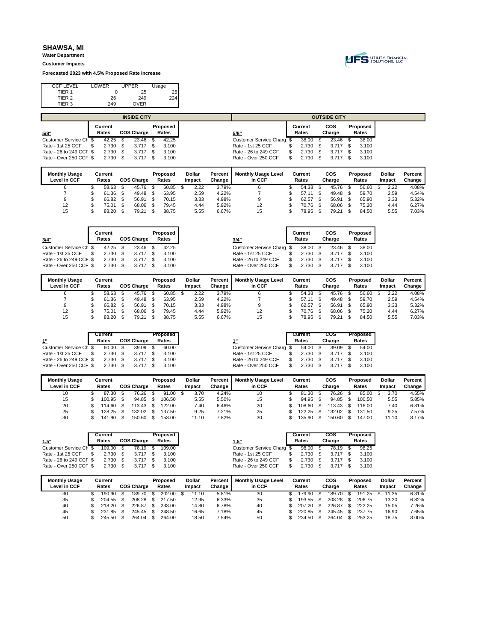**Water Department Customer Impacts**

**Forecasted 2023 with 4.5% Proposed Rate Increase**



| <b>CCF LEVEL</b>  | LOWER | <b>UPPER</b> | Usage |    |
|-------------------|-------|--------------|-------|----|
| TIER 1            |       | 25           |       | 25 |
| TIER <sub>2</sub> | 26    | 249          | 224   |    |
| TIER 3            | 249   | <b>OVER</b>  |       |    |
|                   |       |              |       |    |

|                         |         |      | <b>INSIDE CITY</b> |          |                           |         |      | <b>OUTSIDE CITY</b> |          |
|-------------------------|---------|------|--------------------|----------|---------------------------|---------|------|---------------------|----------|
|                         | Current |      |                    | Proposed |                           | Current |      | cos                 | Proposed |
| 5/8"                    | Rates   |      | <b>COS Charge</b>  | Rates    | 5/8"                      | Rates   |      | Charge              | Rates    |
| Customer Service Ch \$  | 42.25   |      | 23.46              | 42.25    | Customer Service Charg \$ | 38.00   |      | 23.46               | 38.00    |
| Rate - 1st 25 CCF       | 2.730   | - \$ | $3.717$ \$         | 3.100    | Rate - 1st 25 CCF         | 2.730   | - \$ | 3.717               | 3.100    |
| Rate - 26 to 249 CCF \$ | 2.730   | - \$ | $3.717$ \$         | 3.100    | Rate - 26 to 249 CCF      | 2.730   |      | 3.717               | 3.100    |
| Rate - Over 250 CCF \$  | 2.730   |      | $3.717$ \$         | 3.100    | Rate - Over 250 CCF       | 2.730   |      | 3.717               | 3.100    |
|                         |         |      |                    |          |                           |         |      |                     |          |

| <b>Monthly Usage</b><br>Level in CCF | Current<br>Rates | <b>COS Charge</b> | Proposed<br>Rates | Dollar<br>Impact | Percent<br>Change | <b>Monthly Usage Level</b><br>in CCF | Current<br>Rates |     | cos<br>Charge | Proposed<br>Rates | Dollar<br>Impact | Percent<br>Change |
|--------------------------------------|------------------|-------------------|-------------------|------------------|-------------------|--------------------------------------|------------------|-----|---------------|-------------------|------------------|-------------------|
|                                      |                  |                   |                   |                  |                   |                                      |                  |     |               |                   |                  |                   |
|                                      | 58.63            | 45.76             | 60.85             | 2.22             | 3.79%             |                                      | 54.38            |     | 45.76         | 56.60             | 2.22             | 4.08%             |
|                                      | 61.36            | 49.48             | 63.95             | 2.59             | 4.22%             |                                      | 57.11            | \$. | 49.48         | 59.70             | 2.59             | 4.54%             |
| 9                                    | 66.82            | 56.91             | 70.15             | 3.33             | 4.98%             |                                      | 62.57            |     | 56.91         | 65.90             | 3.33             | 5.32%             |
| 12                                   | 75.01            | 68.06             | 79.45             | 4.44             | 5.92%             | 12                                   | 70.76            | \$. | 68.06         | 75.20             | 4.44             | 6.27%             |
| 15                                   | 83.20            | 79.21             | 88.75             | 5.55             | 6.67%             | 15                                   | 78.95            |     | 79.21         | 84.50             | 5.55             | 7.03%             |

| 3/4"                    | Current<br>Rates |     | <b>COS Charge</b> |          | Proposed<br>Rates |               |         | 3/4"                       | Current<br>Rates |     | cos<br>Charge | Proposed<br>Rates |  |
|-------------------------|------------------|-----|-------------------|----------|-------------------|---------------|---------|----------------------------|------------------|-----|---------------|-------------------|--|
| Customer Service Ch \$  | 42.25            |     | 23.46             | - \$     | 42.25             |               |         | Customer Service Charg \$  | 38.00            | \$  | 23.46         | 38.00             |  |
| Rate - 1st 25 CCF       | 2.730            | \$. | 3.717             | - \$     | 3.100             |               |         | Rate - 1st 25 CCF          | 2.730            | \$. | 3.717         | 3.100             |  |
| Rate - 26 to 249 CCF \$ | 2.730            | \$. | 3.717             |          | 3.100             |               |         | Rate - 26 to 249 CCF       | 2.730            | \$. | 3.717         | 3.100             |  |
| Rate - Over 250 CCF \$  | 2.730            | \$. | 3.717             | <b>S</b> | 3.100             |               |         | Rate - Over 250 CCF        | 2.730            | \$. | 3.717         | 3.100             |  |
| <b>Monthly Usage</b>    | Current          |     |                   |          | Proposed          | <b>Dollar</b> | Percent | <b>Monthly Usage Level</b> | Current          |     | cos           | Proposed          |  |

| <b>Monthly Usage</b> | Current       |                   | Proposed | <b>Dollar</b> | Percent | <b>Monthly Usage Level</b> | Current | cos    | Proposed | <b>Dollar</b> | Percent |
|----------------------|---------------|-------------------|----------|---------------|---------|----------------------------|---------|--------|----------|---------------|---------|
| Level in CCF         | Rates         | <b>COS Charge</b> | Rates    | Impact        | Change  | in CCF                     | Rates   | Charge | Rates    | Impact        | Change  |
|                      | 58.63         | 45.76             | 60.85    | 2.22          | 3.79%   |                            | 54.38   | 45.76  | 56.60    | 2.22          | 4.08%   |
|                      | . 36. ا<br>61 | 49.48             | 63.95    | 2.59          | 4.22%   |                            | 57.11   | 49.48  | 59.70    | 2.59          | 4.54%   |
|                      | 66.82         | 56.91             | 70.15    | 3.33          | 4.98%   |                            | 62.57   | 56.91  | 65.90    | 3.33          | 5.32%   |
| 12                   | 75.01         | 68.06             | 79.45    | 4.44          | 5.92%   | 12                         | 70.76   | 68.06  | 75.20    | 4.44          | 6.27%   |
| 15                   | 83.20         | 79.21             | 88.75    | 5.55          | 6.67%   | 15                         | 78.95   | 79.21  | 84.50    | 5.55          | 7.03%   |

|                         | Current    |     |                   | Proposed |                           | Current  | cos    | Proposed |
|-------------------------|------------|-----|-------------------|----------|---------------------------|----------|--------|----------|
|                         | Rates      |     | <b>COS Charge</b> | Rates    |                           | Rates    | Charge | Rates    |
| Customer Service Ch \$  | 60.00      |     | $39.09$ \$        | 60.00    | Customer Service Charg \$ | 54.00 \$ | 39.09  |          |
| Rate - 1st 25 CCF       | 2.730      |     | $3.717$ \$        | 3.100    | Rate - 1st 25 CCF         | 2.730    | 3.717  | 3.100    |
| Rate - 26 to 249 CCF \$ | 2.730      | - S | $3.717$ \$        | 3.100    | Rate - 26 to 249 CCF      | 2.730    | 3.717  | 3.100    |
| Rate - Over 250 CCF \$  | $2.730$ \$ |     | $3.717$ \$        | 3.100    | Rate - Over 250 CCF       | 2.730    | 3.717  | 3.100    |

| <b>Monthly Usage</b> | Current |                   | Proposed | Dollar | Percent | <b>Monthly Usage Level</b> | Current | cos    | Proposed | <b>Dollar</b> | Percent |
|----------------------|---------|-------------------|----------|--------|---------|----------------------------|---------|--------|----------|---------------|---------|
| Level in CCF         | Rates   | <b>COS Charge</b> | Rates    | Impact | Change  | in CCF                     | Rates   | Charge | Rates    | Impact        | Change  |
| 10                   | 87.30   | 76.26             | 91.00    | 3.70   | 4.24%   | 10                         | 81.30   | 76.26  | 85.00    | 3.70          | 4.55%   |
| 15                   | 100.95  | 94.85             | 106.50   | 5.55   | 5.50%   | 15                         | 94.95   | 94.85  | 100.50   | 5.55          | 5.85%   |
| 20                   | 114.60  | $113.43$ \$       | 122.00   | 7.40   | 6.46%   | 20                         | 108.60  | 113.43 | 116.00   | 7.40          | 6.81%   |
| 25                   | 128.25  | 132.02            | 137.50   | 9.25   | 7.21%   | 25                         | 122.25  | 132.02 | 131.50   | 9.25          | 7.57%   |
| 30                   | 141.90  | 150.60            | 153.00   | 11.10  | 7.82%   | 30                         | 135.90  | 150.60 | 147.00   | 11.10         | 8.17%   |

|                         |       |         |                                   |                               |                                                    |                           |                  | cos                 |        | Proposed |
|-------------------------|-------|---------|-----------------------------------|-------------------------------|----------------------------------------------------|---------------------------|------------------|---------------------|--------|----------|
|                         | Rates |         |                                   | Rates                         | 1.5"                                               |                           |                  |                     |        | Rates    |
| Customer Service Ch \$  |       |         |                                   | 109.00                        |                                                    |                           |                  | 78.19               |        | 98.25    |
|                         |       |         |                                   | 3.100                         | Rate - 1st 25 CCF                                  | 2.730                     |                  | 3.717               |        | 3.100    |
| Rate - 26 to 249 CCF \$ |       | -S      |                                   | 3.100                         | Rate - 26 to 249 CCF                               | 2.730                     |                  | 3.717               |        | 3.100    |
| Rate - Over 250 CCF \$  |       |         |                                   | 3.100                         | Rate - Over 250 CCF                                |                           |                  | 3.717               |        | 3.100    |
|                         |       | Current | 109.00<br>2.730<br>2.730<br>2.730 | <b>COS Charge</b><br>78.19 \$ | Proposed<br>$3.717$ \$<br>$3.717$ \$<br>$3.717$ \$ | Customer Service Charg \$ | Current<br>Rates | 98.00<br>$2.730$ \$ | Charge |          |

| <b>Monthly Usage</b><br>Level in CCF | Current<br>Rates | COS Charge | Proposed<br>Rates | <b>Dollar</b><br>Impact | Percent<br>Change | <b>Monthly Usage Level</b><br>in CCF | Current<br>Rates | cos<br>Charge | Proposed<br>Rates | <b>Dollar</b><br>Impact | Percent<br>Change |
|--------------------------------------|------------------|------------|-------------------|-------------------------|-------------------|--------------------------------------|------------------|---------------|-------------------|-------------------------|-------------------|
| 30                                   | 190.90           | 189.70     | 202.00            | 11.10                   | 5.81%             | 30                                   | 179.90           | 189.70        | 191.25            | 11.35                   | 6.31%             |
| 35                                   | 204.55           | 208.28     | 217.50            | 12.95                   | 6.33%             | 35                                   | 193.55           | 208.28        | 206.75            | 13.20                   | 6.82%             |
| 40                                   | 218.20           | 226.87     | 233.00            | 14.80                   | 6.78%             | 40                                   | 207.20           | 226.87        | 222.25            | 15.05                   | 7.26%             |
| 45                                   | 231.85           | 245.45     | 248.50            | 16.65                   | 7.18%             | 45                                   | 220.85           | 245.45        | 237.75            | 16.90                   | 7.65%             |
| 50                                   | 245.50           | 264.04     | 264.00            | 18.50                   | 7.54%             | 50                                   | 234.50           | 264.04        | 253.25            | 18.75                   | 8.00%             |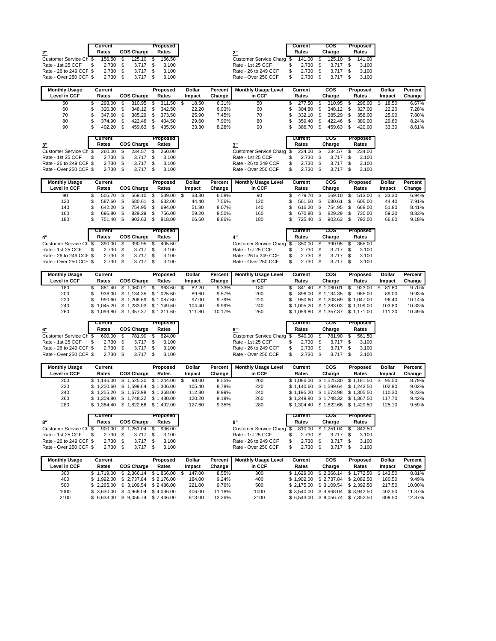|                         | Current |    |                   | Proposed |                           | Current   | cos    | Proposed |
|-------------------------|---------|----|-------------------|----------|---------------------------|-----------|--------|----------|
| 2"                      | Rates   |    | <b>COS Charge</b> | Rates    | 2"                        | Rates     | Charge | Rates    |
| Customer Service Ch \$  | 156.50  | S. | 125.10 \$         | 156.50   | Customer Service Charg \$ | 141.00 \$ | 125.10 | 141.00   |
| Rate - 1st 25 CCF       | 2.730   | \$ | $3.717$ \$        | 3.100    | Rate - 1st 25 CCF         | 2.730     | 3.717  | 3.100    |
| Rate - 26 to 249 CCF \$ | 2.730   | -S | $3.717$ \$        | 3.100    | Rate - 26 to 249 CCF      | 2.730     | 3.717  | 3.100    |
| Rate - Over 250 CCF \$  | 2.730   |    | $3.717$ \$        | 3.100    | Rate - Over 250 CCF       | 2.730     | 3.717  | 3.100    |

| <b>Monthly Usage</b> | Current     |                   |     | Proposed | <b>Dollar</b> | Percent | <b>Monthly Usage Level</b> | Current | <b>COS</b> | Proposed | <b>Dollar</b> | Percent |
|----------------------|-------------|-------------------|-----|----------|---------------|---------|----------------------------|---------|------------|----------|---------------|---------|
| Level in CCF         | Rates       | <b>COS Charge</b> |     | Rates    | Impact        | Change  | in CCF                     | Rates   | Charge     | Rates    | Impact        | Change  |
| 50                   | 293.00      | 310.95            | \$. | 311.50   | 18.50         | 6.31%   | 50                         | 277.50  | 310.95     | 296.00   | 18.50         | 6.67%   |
| 60                   | 320.30 \$   | 348.12 \$         |     | 342.50   | 22.20         | 6.93%   | 60                         | 304.80  | 348.12     | 327.00   | 22.20         | 7.28%   |
| 70                   | $347.60$ \$ | 385.29            |     | 373.50   | 25.90         | 7.45%   | 70                         | 332.10  | 385.29     | 358.00   | 25.90         | 7.80%   |
| 80                   | 374.90      | 422.46            |     | 404.50   | 29.60         | 7.90%   | 80                         | 359.40  | 422.46     | 389.00   | 29.60         | 8.24%   |
| 90                   | 402.20      | 459.63            |     | 435.50   | 33.30         | 8.28%   | 90                         | 386.70  | 459.63     | 420.00   | 33.30         | 8.61%   |

|                                                 | Current |                         | Proposed |
|-------------------------------------------------|---------|-------------------------|----------|
| 3"                                              | Rates   | <b>COS Charge</b>       | Rates    |
| Customer Service Ch \$ 260.00 \$ 234.57 \$      |         |                         | 260.00   |
| Rate - 1st 25 CCF \$                            |         | 2.730 \$ 3.717 \$ 3.100 |          |
| Rate - 26 to 249 CCF \$ 2.730 \$ 3.717 \$ 3.100 |         |                         |          |
| Rate - Over 250 CCF \$ 2.730 \$ 3.717 \$ 3.100  |         |                         |          |

| ิษบ                |      | 300.7U           | ъ.  | 409.03        | ъ. | 420.00            |
|--------------------|------|------------------|-----|---------------|----|-------------------|
|                    |      | Current<br>Rates |     | cos<br>Charge |    | Proposed<br>Rates |
| omer Service Charg | - \$ | 234.00           |     | 234.57        |    | 234.00            |
| - 1st 25 CCF       | S    | 2.730            | S.  | 3.717         |    | 3.100             |
| - 26 to 249 CCF    | S    | 2.730            | \$. | 3.717         | S. | 3.100             |
| - Over $250$ CCE   |      | 2 730            |     | 3 7 1 7       |    | 3 100             |

| <b>Monthly Usage</b><br>Level in CCF | Current<br>Rates | <b>COS Charge</b> | Proposed<br>Rates | Dollar<br><b>Impact</b> | Percent<br>Change | <b>Monthly Usage Level</b><br>in CCF | Current<br>Rates | cos<br>Charge | Proposed<br>Rates | <b>Dollar</b><br>Impact | Percent<br>Change |
|--------------------------------------|------------------|-------------------|-------------------|-------------------------|-------------------|--------------------------------------|------------------|---------------|-------------------|-------------------------|-------------------|
| 90                                   | 505.70           | 569.10            | 539.00            | 33.30                   | 6.58%             | 90                                   | 479.70           | 569.10        | 513.00            | 33.30                   | 6.94%             |
| 120                                  | 587.60           | 680.61            | 632.00            | 44.40                   | 7.56%             | 120                                  | 561.60           | 680.61        | 606.00            | 44.40                   | 7.91%             |
| 140                                  | 642.20           | 754.95            | 694.00            | 51.80                   | 8.07%             | 140                                  | 616.20           | 754.95        | 668.00            | 51.80                   | 8.41%             |
| 160                                  | 696.80           | 829.29            | 756.00            | 59.20                   | 8.50%             | 160                                  | 670.80           | 829.29        | 730.00            | 59.20                   | 8.83%             |
| 180                                  | 751.40           | 903.63            | 818.00            | 66.60                   | 8.86%             | 180                                  | 725.40           | 903.63        | 792.00            | 66.60                   | 9.18%             |

|                                  |    | Current    |                   | Proposed |                      | Current    | cos                                                  | Proposed |
|----------------------------------|----|------------|-------------------|----------|----------------------|------------|------------------------------------------------------|----------|
| 4"                               |    | Rates      | <b>COS Charge</b> | Rates    |                      | Rates      | Charge                                               |          |
| Customer Service Ch \$ 390.00 \$ |    |            | 390.95 \$         | 405.60   |                      |            | Customer Service Charg \$ 350.00 \$ 390.95 \$ 365.00 |          |
| Rate - 1st 25 CCF                | -S | $2.730$ \$ | 3.717 \$          | 3.100    |                      | $2.730$ \$ | $3.717$ \$                                           |          |
| Rate - 26 to 249 CCF \$          |    | $2.730$ \$ | $3.717$ \$        | 3.100    | Rate - 26 to 249 CCF | $2.730$ \$ | $3.717$ \$                                           |          |
| Rate - Over 250 CCF \$           |    | 2.730 \$   | 3.717 \$          | 3.100    | Rate - Over 250 CCF  | $2.730$ \$ | $3.717$ \$                                           |          |

| <b>Monthly Usage</b> | Current    |                                             | Proposed   | Dollar | Percent | <b>Monthly Usage Level</b> | Current    | cos        | Proposed   | <b>Dollar</b> | Percent |
|----------------------|------------|---------------------------------------------|------------|--------|---------|----------------------------|------------|------------|------------|---------------|---------|
| Level in CCF         | Rates      | <b>COS Charge</b>                           | Rates      | Impact | Change  | in CCF                     | Rates      | Charge     | Rates      | Impact        | Change  |
| 180                  | 881.40     | .060.01                                     | 963.60     | 82.20  | 9.33%   | 180                        | 841.40     | \$1.060.01 | 923.00     | 81.60         | 9.70%   |
| 200                  |            | 936.00 \$ 1.134.35 \$ 1.025.60              |            | 89.60  | 9.57%   | 200                        | 896.00     | \$1.134.35 | 985.00     | 89.00         | 9.93%   |
| 220                  |            | 990.60 \$1.208.69 \$1.087.60                |            | 97.00  | 9.79%   | 220                        | 950.60     | \$1.208.69 | \$1.047.00 | 96.40         | 10.14%  |
| 240                  |            | $$1.045.20 \quad $1.283.03 \quad $1.149.60$ |            | 104.40 | 9.99%   | 240                        | \$1.005.20 | \$1.283.03 | \$1.109.00 | 103.80        | 10.33%  |
| 260                  | \$1.099.80 | .357.37<br>\$1                              | \$1.211.60 | 111.80 | 10.17%  | 260                        | \$1.059.80 | \$1.357.37 | \$1.171.00 | 111.20        | 10.49%  |

|                         | Current |     |                   | Proposed |
|-------------------------|---------|-----|-------------------|----------|
| 6"                      | Rates   |     | <b>COS Charge</b> | Rates    |
| Customer Service Ch \$  | 600.00  | \$. | 781.90            | 624.00   |
| Rate - 1st 25 CCF       | 2.730   |     | 3.717             | 3.100    |
| Rate - 26 to 249 CCF \$ | 2.730   |     | 3.717             | 3.100    |
| Rate - Over 250 CCF \$  | 2.730   |     | 3.717             | 3.100    |

|                                        | Current    |                     | Proposed 1 |                                             |    | Current    | cos    | Proposed |       |
|----------------------------------------|------------|---------------------|------------|---------------------------------------------|----|------------|--------|----------|-------|
| 6"                                     | Rates      | <b>COS Charge</b>   | Rates      |                                             |    | Rates      | Charge |          | Rates |
| Customer Service Ch_\$                 |            | 600.00 \$ 781.90 \$ | 624.00     | Customer Service Charg \$540.00 \$781.90 \$ |    |            |        |          |       |
| Rate - 1st 25 CCF                      | $2.730$ \$ | 3.717 \$            | 3.100      | Rate - 1st 25 CCF                           | S. | 2.730 \$   | 3.717  |          |       |
| Rate - 26 to 249 CCF \$2.730 \$        |            | $3.717$ \$          | 3.100      | Rate - 26 to 249 CCF                        |    | $2.730$ \$ | 3.717  |          |       |
| Rate - Over 250 CCF \$2.730 \$3.717 \$ |            |                     | 3.100      | Rate - Over 250 CCF                         |    | $2.730$ \$ | 3.717  |          |       |

| <b>Monthly Usage</b><br>Level in CCF | Current<br>Rates | <b>COS Charge</b>                           | Proposed<br>Rates | <b>Dollar</b><br>Impact | Percent<br>Change | <b>Monthly Usage Level</b><br>in CCF | Current<br>Rates | cos<br>Charge         | Proposed<br>Rates             | <b>Dollar</b><br>Impact | Percent<br>Change |
|--------------------------------------|------------------|---------------------------------------------|-------------------|-------------------------|-------------------|--------------------------------------|------------------|-----------------------|-------------------------------|-------------------------|-------------------|
| 200                                  | \$1.146.00       | \$ 1.525.30 \$ 1.244.00 \$                  |                   | 98.00                   | 8.55%             | 200                                  | \$1.086.00       |                       | \$1,525.30 \$1,181.50 \$95.50 |                         | 8.79%             |
| 220                                  | \$1,200.60       | \$1.599.64 \$1.306.00                       |                   | 105.40                  | 8.78%             | 220                                  | \$1.140.60       | \$1.599.64            | \$1.243.50                    | 102.90                  | 9.02%             |
| 240                                  |                  | \$1.255.20 \$1.673.98 \$1.368.00            |                   | 112.80                  | 8.99%             | 240                                  | \$1.195.20       | \$1.673.98 \$1.305.50 |                               | 110.30                  | 9.23%             |
| 260                                  |                  | $$1.309.80 \quad $1.748.32 \quad $1.430.00$ |                   | 120.20                  | 9.18%             | 260                                  | \$1.249.80       | \$1.748.32 \$1.367.50 |                               | 117.70                  | 9.42%             |
| 280                                  |                  | \$1,364.40 \$1,822.66 \$1,492.00            |                   | 127.60                  | 9.35%             | 280                                  | \$1,304.40       | 1.822.66<br>\$1       | \$1.429.50                    | 125.10                  | 9.59%             |

|                         | Current    |                    |     | Proposed |                                                 | Current                  | cos        | Proposed |
|-------------------------|------------|--------------------|-----|----------|-------------------------------------------------|--------------------------|------------|----------|
| 8"                      | Rates      | <b>COS Charge</b>  |     | Rates    |                                                 | Rates                    | Charge     | Rates    |
| Customer Service Ch \$  |            | 900.00 \$ 1.251.04 | -SS | 936.00   | Customer Service Charg \$ 810.00 \$ 1,251.04 \$ |                          |            | 842.50   |
| Rate - 1st 25 CCF       | $2.730$ \$ | $3.717$ \$         |     | 3.100    | Rate - 1st 25 CCF                               | $2.730$ \$               | $3.717$ \$ | 3.100    |
| Rate - 26 to 249 CCF \$ |            | 2.730 \$ 3.717 \$  |     | 3.100    | Rate - 26 to 249 CCF                            | 2.730 \$<br>$\mathbb{S}$ | $3.717$ \$ | 3.100    |
| Rate - Over 250 CCF \$  |            | 2.730 \$ 3.717 \$  |     | 3.100    | Rate - Over 250 CCF                             | 2.730                    | $3.717$ \$ | 3.100    |

| <b>Monthly Usage</b> | Current |                                                     | Proposed | <b>Dollar</b> | Percent | <b>Monthly Usage Level</b> | Current | cos                                       | Proposed   | Dollar | Percent |
|----------------------|---------|-----------------------------------------------------|----------|---------------|---------|----------------------------|---------|-------------------------------------------|------------|--------|---------|
| Level in CCF         | Rates   | <b>COS Charge</b>                                   | Rates    | Impact        | Change  | in CCF                     | Rates   | Charge                                    | Rates      | Impact | Change  |
| 300                  |         | $$1.719.00 \quad $2.366.14 \quad $1.866.00 \quad $$ |          | 147.00        | 8.55%   | 300                        |         | \$1.629.00 \$2.366.14 \$1.772.50 \$143.50 |            |        | 8.81%   |
| 400                  |         | $$1.992.00 \quad $2.737.84 \quad $2.176.00$         |          | 184.00        | 9.24%   | 400                        |         | \$1.902.00 \$2.737.84 \$2.082.50          |            | 180.50 | 9.49%   |
| 500                  |         | \$2.265.00 \$3.109.54 \$2.486.00                    |          | 221.00        | 9.76%   | 500                        |         | \$2.175.00 \$3.109.54 \$2.392.50          |            | 217.50 | 10.00%  |
| 1000                 |         | $$3.630.00 \quad $4.968.04 \quad $4.036.00$         |          | 406.00        | 11.18%  | 1000                       |         | $$3.540.00$ $$4.968.04$                   | \$3.942.50 | 402.50 | 11.37%  |
| 2100                 |         | \$6.633.00 \$9.056.74 \$7.446.00                    |          | 813.00        | 12.26%  | 2100                       |         | \$6.543.00 \$9.056.74 \$7.352.50          |            | 809.50 | 12.37%  |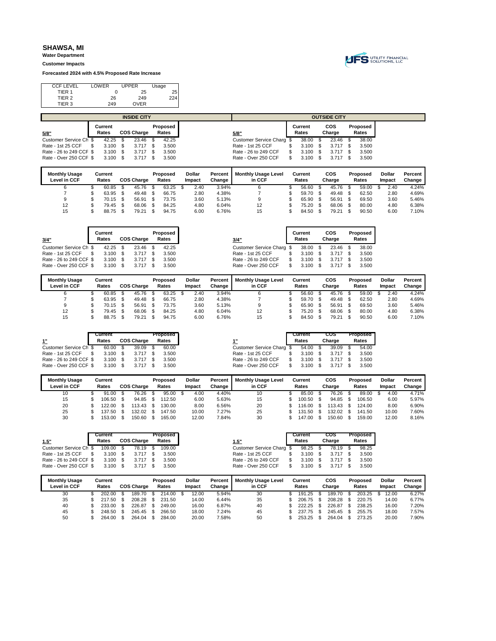**Water Department Customer Impacts**

**Forecasted 2024 with 4.5% Proposed Rate Increase**



| <b>CCF LEVEL</b>  | LOWER | <b>UPPER</b> | Usage |
|-------------------|-------|--------------|-------|
| TIER 1            |       | 25           | 25    |
| TIER <sub>2</sub> | 26    | 249          | 224.  |
| TIER 3            | 249   | <b>OVER</b>  |       |
|                   |       |              |       |

|                         | <b>INSIDE CITY</b> |      |                   |  |          |  | <b>OUTSIDE CITY</b>       |  |         |  |        |  |          |  |  |
|-------------------------|--------------------|------|-------------------|--|----------|--|---------------------------|--|---------|--|--------|--|----------|--|--|
|                         | Current            |      |                   |  | Proposed |  |                           |  | Current |  | cos    |  | Proposed |  |  |
| 5/8"                    | Rates              |      | <b>COS Charge</b> |  | Rates    |  | 5/8"                      |  | Rates   |  | Charge |  | Rates    |  |  |
| Customer Service Ch \$  | 42.25              |      | 23.46             |  | 42.25    |  | Customer Service Charg \$ |  | 38.00   |  | 23.46  |  | 38.00    |  |  |
| Rate - 1st 25 CCF       | 3.100              | -SS  | $3.717$ \$        |  | 3.500    |  | Rate - 1st 25 CCF         |  | 3.100   |  | 3.717  |  | 3.500    |  |  |
| Rate - 26 to 249 CCF \$ | 3.100              | - \$ | $3.717$ \$        |  | 3.500    |  | Rate - 26 to 249 CCF      |  | 3.100   |  | 3.717  |  | 3.500    |  |  |
| Rate - Over 250 CCF \$  | 3.100              |      | $3.717$ \$        |  | 3.500    |  | Rate - Over 250 CCF       |  | 3.100   |  | 3.717  |  | 3.500    |  |  |
|                         |                    |      |                   |  |          |  |                           |  |         |  |        |  |          |  |  |

| <b>Monthly Usage</b><br>Level in CCF | Current<br>Rates | <b>COS Charge</b> | Proposed<br>Rates | <b>Dollar</b><br>Impact | Percent<br>Change | <b>Monthly Usage Level</b><br>in CCF | Current<br>Rates |     | cos<br>Charge | Proposed<br>Rates | <b>Dollar</b><br>Impact | Percent<br>Change |
|--------------------------------------|------------------|-------------------|-------------------|-------------------------|-------------------|--------------------------------------|------------------|-----|---------------|-------------------|-------------------------|-------------------|
|                                      |                  |                   |                   |                         |                   |                                      |                  |     |               |                   |                         |                   |
|                                      | 60.85            | 45.76             | 63.25             | 2.40                    | 3.94%             |                                      | 56.60            |     | 45.76         | 59.00             | 2.40                    | 4.24%             |
|                                      | 63.95            | 49.48             | 66.75             | 2.80                    | 4.38%             |                                      | 59.70            | \$. | 49.48         | 62.50             | 2.80                    | 4.69%             |
| 9                                    | 70.15            | 56.91             | 73.75             | 3.60                    | 5.13%             |                                      | 65.90            |     | 56.91         | 69.50             | 3.60                    | 5.46%             |
| 12                                   | 79.45            | 68.06             | 84.25             | 4.80                    | 6.04%             | 12                                   | 75.20            |     | 68.06         | 80.00             | 4.80                    | 6.38%             |
| 15                                   | 88.75            | 79.21             | 94.75             | 6.00                    | 6.76%             | 15                                   | 84.50            |     | 79.21         | 90.50             | 6.00                    | 7.10%             |

| 3/4"                    | Current<br>Rates |     | <b>COS Charge</b> |      | Proposed<br>Rates |               |         | 3/4"                       | Current<br>Rates |     | cos<br>Charge | Proposed<br>Rates |  |
|-------------------------|------------------|-----|-------------------|------|-------------------|---------------|---------|----------------------------|------------------|-----|---------------|-------------------|--|
| Customer Service Ch \$  | 42.25            |     | 23.46             | - \$ | 42.25             |               |         | Customer Service Charg \$  | 38.00            | \$. | 23.46         | 38.00             |  |
| Rate - 1st 25 CCF       | 3.100            | \$. | 3.717             | - \$ | 3.500             |               |         | Rate - 1st 25 CCF          | 3.100            | \$. | 3.717         | 3.500             |  |
| Rate - 26 to 249 CCF \$ | 3.100            | \$. | 3.717             | - SS | 3.500             |               |         | Rate - 26 to 249 CCF       | 3.100            | \$. | 3.717         | 3.500             |  |
| Rate - Over 250 CCF \$  | $3.100$ \$       |     | 3.717             | S.   | 3.500             |               |         | Rate - Over 250 CCF        | 3.100            | £.  | 3.717         | 3.500             |  |
| <b>Monthly Usage</b>    | Current          |     |                   |      | Proposed          | <b>Dollar</b> | Percent | <b>Monthly Usage Level</b> | Current          |     | cos           | Proposed          |  |

| <b>Monthly Usage</b> | Current |                   | Proposed | <b>Dollar</b> | Percent | <b>Monthly Usage Level</b> | Current | cos    | Proposed | <b>Dollar</b> | Percent |
|----------------------|---------|-------------------|----------|---------------|---------|----------------------------|---------|--------|----------|---------------|---------|
| Level in CCF         | Rates   | <b>COS Charge</b> | Rates    | Impact        | Change  | in CCF                     | Rates   | Charge | Rates    | Impact        | Change  |
|                      | 60.85   | 45.76             | 63.25    | 2.40          | 3.94%   |                            | 56.60   | 45.76  | 59.00    | 2.40          | 4.24%   |
|                      | 63.95   | 49.48             | 66.75    | 2.80          | 4.38%   |                            | 59.70   | 49.48  | 62.50    | 2.80          | 4.69%   |
|                      | 70.15   | 56.91             | 73.75    | 3.60          | 5.13%   |                            | 65.90   | 56.91  | 69.50    | 3.60          | 5.46%   |
| 12                   | 79.45   | 68.06             | 84.25    | 4.80          | 6.04%   | 12                         | 75.20   | 68.06  | 80.00    | 4.80          | 6.38%   |
| 15                   | 88.75   | 79.21             | 94.75    | 6.00          | 6.76%   | 15                         | 84.50   | 79.21  | 90.50    | 6.00          | 7.10%   |

|                         | Current    |     |                   | Proposed |                           | Current | cos    | Proposed |
|-------------------------|------------|-----|-------------------|----------|---------------------------|---------|--------|----------|
| 1"                      | Rates      |     | <b>COS Charge</b> | Rates    |                           | Rates   | Charge | Rates    |
| Customer Service Ch \$  | 60.00      |     | $39.09$ \$        | 60.00    | Customer Service Charg \$ | 54.00   | 39.09  | 54.00    |
| Rate - 1st 25 CCF       | 3.100      |     | $3.717$ \$        | 3.500    | Rate - 1st 25 CCF         | 3.100   | 3.717  | 3.500    |
| Rate - 26 to 249 CCF \$ | 3.100      | - S | $3.717$ \$        | 3.500    | Rate - 26 to 249 CCF      | 3.100   | 3.717  | 3.500    |
| Rate - Over 250 CCF \$  | $3.100$ \$ |     | $3.717$ \$        | 3.500    | Rate - Over 250 CCF       | 3.100   | 3.717  | 3.500    |

| <b>Monthly Usage</b> | Current |                   | Proposed | <b>Dollar</b> | Percent | <b>Monthly Usage Level</b> | Current | cos    | Proposed | Dollar | Percent |
|----------------------|---------|-------------------|----------|---------------|---------|----------------------------|---------|--------|----------|--------|---------|
| Level in CCF         | Rates   | <b>COS Charge</b> | Rates    | Impact        | Change  | in CCF                     | Rates   | Charge | Rates    | Impact | Change  |
| 10                   | 91.00   | 76.26             | 95.00    | 4.00          | 4.40%   | 10                         | 85.00   | 76.26  | 89.00    | 4.00   | 4.71%   |
| 15                   | 106.50  | 94.85             | 112.50   | 6.00          | 5.63%   | 15                         | 100.50  | 94.85  | 106.50   | 6.00   | 5.97%   |
| 20                   | 122.00  | $113.43$ \$       | 130.00   | 8.00          | 6.56%   | 20                         | 116.00  | 113.43 | 124.00   | 8.00   | 6.90%   |
| 25                   | 137.50  | 132.02            | 147.50   | 10.00         | 7.27%   | 25                         | 131.50  | 132.02 | 141.50   | 10.00  | 7.60%   |
| 30                   | 153.00  | 150.60            | 165.00   | 12.00         | 7.84%   | 30                         | 147.00  | 150.60 | 159.00   | 12.00  | 8.16%   |

| Current                 |                                    | Proposed                                                                |                      | Current                   |       | cos                                                  | Proposed |       |
|-------------------------|------------------------------------|-------------------------------------------------------------------------|----------------------|---------------------------|-------|------------------------------------------------------|----------|-------|
| Rates                   |                                    | Rates                                                                   | 1.5"                 |                           |       |                                                      |          | Rates |
| Customer Service Ch \$  |                                    | 109.00                                                                  |                      |                           |       | 78.19                                                |          | 98.25 |
| 3.100                   |                                    | 3.500                                                                   | Rate - 1st 25 CCF    |                           |       | 3.717                                                |          | 3.500 |
| Rate - 26 to 249 CCF \$ |                                    | 3.500                                                                   | Rate - 26 to 249 CCF |                           |       | 3.717                                                |          | 3.500 |
| Rate - Over 250 CCF \$  |                                    | 3.500                                                                   | Rate - Over 250 CCF  |                           |       | 3.717                                                |          | 3.500 |
|                         | 109.00<br>$3.100$ \$<br>$3.100$ \$ | <b>COS Charge</b><br>78.19 \$<br>$3.717$ \$<br>$3.717$ \$<br>$3.717$ \$ |                      | Customer Service Charg \$ | Rates | $98.25$ \$<br>$3.100$ \$<br>$3.100$ \$<br>$3.100$ \$ | Charge   |       |

| <b>Monthly Usage</b><br>Level in CCF | Current<br>Rates | COS Charge | Proposed<br>Rates | <b>Dollar</b><br>Impact | Percent<br>Change | <b>Monthly Usage Level</b><br>in CCF | Current<br>Rates | cos<br>Charge | Proposed<br>Rates | <b>Dollar</b><br>Impact | Percent<br>Change |
|--------------------------------------|------------------|------------|-------------------|-------------------------|-------------------|--------------------------------------|------------------|---------------|-------------------|-------------------------|-------------------|
| 30                                   | 202.00           | 189.70     | 214.00            | 12.00                   | 5.94%             | 30                                   | 191.25           | 189.70        | 203.25            | 12.00                   | 6.27%             |
| 35                                   | 217.50           | 208.28     | 231.50            | 14.00                   | 6.44%             | 35                                   | 206.75           | 208.28        | 220.75            | 14.00                   | 6.77%             |
| 40                                   | 233.00           | 226.87     | 249.00            | 16.00                   | 6.87%             | 40                                   | 222.25           | 226.87        | 238.25            | 16.00                   | 7.20%             |
| 45                                   | 248.50           | 245.45     | 266.50            | 18.00                   | 7.24%             | 45                                   | 237.75           | 245.45        | 255.75            | 18.00                   | 7.57%             |
| 50                                   | 264.00           | 264.04     | 284.00            | 20.00                   | 7.58%             | 50                                   | 253.25           | 264.04        | 273.25            | 20.00                   | 7.90%             |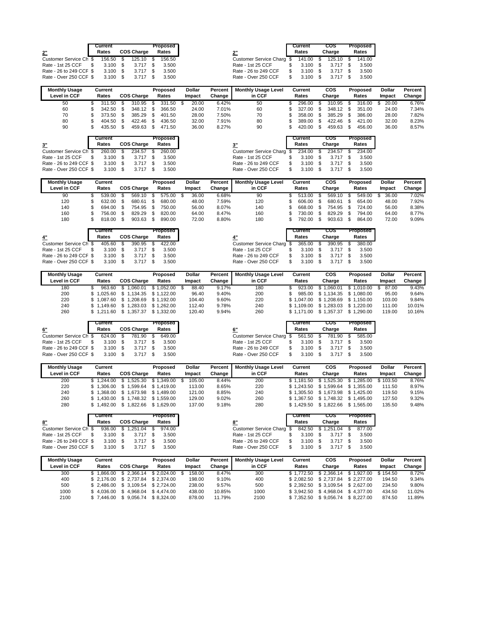|                         | Current    |    |                   | Proposed |                           | Current   | cos         | Proposed |
|-------------------------|------------|----|-------------------|----------|---------------------------|-----------|-------------|----------|
| 2"                      | Rates      |    | <b>COS Charge</b> | Rates    | 2"                        | Rates     | Charge      | Rates    |
| Customer Service Ch \$  | 156.50     |    | $125.10$ \$       | 156.50   | Customer Service Charg \$ | 141.00 \$ | $125.10$ \$ | 141.00   |
| Rate - 1st 25 CCF       | 3.100      | -S | $3.717$ \$        | 3.500    | Rate - 1st 25 CCF         | 3.100     | 3.717       | 3.500    |
| Rate - 26 to 249 CCF \$ | $3.100$ \$ |    | $3.717$ \$        | 3.500    | Rate - 26 to 249 CCF      | 3.100     | 3.717       | 3.500    |
| Rate - Over 250 CCF \$  | $3.100$ \$ |    | $3.717$ \$        | 3.500    | Rate - Over 250 CCF       | 3.100     | 3.717       | 3.500    |

| <b>Monthly Usage</b> | Current |                   | Proposed | <b>Dollar</b> | Percent | <b>Monthly Usage Level</b> | Current | cos    | Proposed | <b>Dollar</b> | Percent |
|----------------------|---------|-------------------|----------|---------------|---------|----------------------------|---------|--------|----------|---------------|---------|
| Level in CCF         | Rates   | <b>COS Charge</b> | Rates    | Impact        | Change  | in CCF                     | Rates   | Charge | Rates    | Impact        | Change  |
| 50                   | 311.50  | 310.95            | 331.50   | 20.00         | 6.42%   | 50                         | 296.00  | 310.95 | 316.00   | 20.00         | 6.76%   |
| 60                   | 342.50  | 348.12 \$         | 366.50   | 24.00         | 7.01%   | 60                         | 327.00  | 348.12 | 351.00   | 24.00         | 7.34%   |
| 70                   | 373.50  | 385.29            | 401.50   | 28.00         | 7.50%   | 70                         | 358.00  | 385.29 | 386.00   | 28.00         | 7.82%   |
| 80                   | 404.50  | 422.46            | 436.50   | 32.00         | 7.91%   | 80                         | 389.00  | 422.46 | 421.00   | 32.00         | 8.23%   |
| 90                   | 435.50  | 459.63            | 471.50   | 36.00         | 8.27%   | 90                         | 420.00  | 459.63 | 456.00   | 36.00         | 8.57%   |

|                                           | Current    |                   |     | Proposed |                                                      |     | Current    | cos               | Proposed |
|-------------------------------------------|------------|-------------------|-----|----------|------------------------------------------------------|-----|------------|-------------------|----------|
| 3"                                        | Rates      | <b>COS Charge</b> |     | Rates    |                                                      |     | Rates      | Charge            | Rates    |
| Customer Service Ch \$ 260.00 \$ 234.57   |            |                   | 8 S | 260.00   | Customer Service Charg \$ 234.00 \$ 234.57 \$ 234.00 |     |            |                   |          |
| Rate - 1st 25 CCF \$                      | $3.100$ \$ | $3.717$ \$        |     | 3.500    | Rate - 1st 25 CCF                                    | \$. | 3.100 \$   | 3.717 \$          | 3.500    |
| Rate - 26 to 249 CCF \$ 3.100 \$ 3.717 \$ |            |                   |     | 3.500    | Rate - 26 to 249 CCF                                 | S.  |            | 3.100 \$ 3.717 \$ | 3.500    |
| Rate - Over 250 CCF \$ 3.100 \$ 3.717 \$  |            |                   |     | 3.500    | Rate - Over 250 CCF                                  | s.  | $3.100$ \$ | 3.717 \$          | 3.500    |

| м.                |    | 420.00           | - 35 | 409.03        | ъ. | 450.00            |
|-------------------|----|------------------|------|---------------|----|-------------------|
|                   |    | Current<br>Rates |      | cos<br>Charge |    | Proposed<br>Rates |
| mer Service Charg | \$ | 234.00           | \$   | 234.57        |    | 234.00            |
| - 1st 25 CCF      | S. | 3.100            | \$   | 3.717         |    | 3.500             |
| - 26 to 249 CCF   | S  | 3.100            | \$   | 3.717         |    | 3.500             |
| - Over 250 CCE    |    | 3.100            |      | 3717          |    | 3.500             |

| <b>Monthly Usage</b><br>Level in CCF | Current<br>Rates | <b>COS Charge</b> | Proposed<br>Rates | Dollar<br>Impact | Percent<br>Change | <b>Monthly Usage Level</b><br>in CCF | Current<br>Rates | cos<br>Charge | Proposed<br>Rates | Dollar<br>Impact | Percent<br>Change |
|--------------------------------------|------------------|-------------------|-------------------|------------------|-------------------|--------------------------------------|------------------|---------------|-------------------|------------------|-------------------|
| 90                                   | 539.00           | 569.10            | 575.00            | 36.00            | 6.68%             | 90                                   | 513.00           | 569.10        | 549.00            | 36.00            | 7.02%             |
| 120                                  | 632.00           | 680.61            | 680.00            | 48.00            | 7.59%             | 120                                  | 606.00           | 680.61        | 654.00            | 48.00            | 7.92%             |
| 140                                  | 694.00           | 754.95            | 750.00            | 56.00            | 8.07%             | 140                                  | 668.00           | 754.95        | 724.00            | 56.00            | 8.38%             |
| 160                                  | 756.00           | 829.29            | 820.00            | 64.00            | 8.47%             | 160                                  | 730.00           | 829.29        | 794.00            | 64.00            | 8.77%             |
| 180                                  | 818.00           | 903.63            | 890.00            | 72.00            | 8.80%             | 180                                  | 792.00           | 903.63        | 864.00            | 72.00            | 9.09%             |

|                         |     | Current    |     |                   | Proposed |                           |    | Current             | cos        | Proposed |
|-------------------------|-----|------------|-----|-------------------|----------|---------------------------|----|---------------------|------------|----------|
| 4"                      |     | Rates      |     | <b>COS Charge</b> | Rates    |                           |    | Rates               | Charge     | Rates    |
| Customer Service Ch \$  |     | 405.60 \$  |     | 390.95 \$         | 422.00   | Customer Service Charg \$ |    | 365.00 \$           | 390.95 \$  | 380.00   |
| Rate - 1st 25 CCF       | \$. | 3.100      | 8 S | 3.717             | 3.500    | Rate - 1st 25 CCF         |    | $3.100$ \$          | $3.717$ \$ | 3.500    |
| Rate - 26 to 249 CCF \$ |     | $3.100$ \$ |     | 3.717             | 3.500    | Rate - 26 to 249 CCF      | S. | $3.100$ \$          | $3.717$ \$ | 3.500    |
| Rate - Over 250 CCF \$  |     | $3.100$ \$ |     | $3.717$ \$        | 3.500    | Rate - Over 250 CCF       |    | $3.100 \text{ }$ \$ | $3.717$ \$ | 3.500    |
|                         |     |            |     |                   |          |                           |    |                     |            |          |

| <b>Monthly Usage</b> | Current    |                                             | Proposed   | Dollar | Percent | <b>Monthly Usage Level</b> | Current    | cos                   | Proposed              | <b>Dollar</b> | Percent |
|----------------------|------------|---------------------------------------------|------------|--------|---------|----------------------------|------------|-----------------------|-----------------------|---------------|---------|
| Level in CCF         | Rates      | <b>COS Charge</b>                           | Rates      | Impact | Change  | in CCF                     | Rates      | Charge                | Rates                 | Impact        | Change  |
| 180                  | 963.60     | .060.01                                     | \$1.052.00 | 88.40  | 9.17%   | 180                        | 923.00     | .060.01               | \$1.010.00            | 87.00         | 9.43%   |
| 200                  | \$1.025.60 | $$1.134.35$ $$1.122.00$                     |            | 96.40  | 9.40%   | 200                        | 985.00     |                       | \$1.134.35 \$1.080.00 | 95.00         | 9.64%   |
| 220                  |            | \$1.087.60 \$1.208.69 \$1.192.00            |            | 104.40 | 9.60%   | 220                        | \$1.047.00 | \$1,208.69 \$1.150.00 |                       | 103.00        | 9.84%   |
| 240                  |            | $$1.149.60 \quad $1.283.03 \quad $1.262.00$ |            | 112.40 | 9.78%   | 240                        | \$1.109.00 | \$1.283.03 \$1.220.00 |                       | 111.00        | 10.01%  |
| 260                  |            | \$1.211.60 \$1.357.37                       | \$1.332.00 | 120.40 | 9.94%   | 260                        | \$1.171.00 | \$1.357.37            | \$1.290.00            | 119.00        | 10.16%  |

|                         | Current |                   | Proposed |  |
|-------------------------|---------|-------------------|----------|--|
| 6"                      | Rates   | <b>COS Charge</b> | Rates    |  |
| Customer Service Ch \$  | 624.00  | 781.90            | 649.00   |  |
| Rate - 1st 25 CCF       | 3.100   | 3.717             | 3.500    |  |
| Rate - 26 to 249 CCF \$ | 3.100   | 3.717             | 3.500    |  |
| Rate - Over 250 CCF \$  | 3.100   | 3.717             | 3.500    |  |

|                         | Current    |                   | Proposed |
|-------------------------|------------|-------------------|----------|
|                         | Rates      | <b>COS Charge</b> | Rates    |
| Customer Service Ch \$  | 624.00 \$  | 781.90 \$         | 649.00   |
| Rate - 1st 25 CCF       | $3.100$ \$ | $3.717$ \$        | 3.500    |
| Rate - 26 to 249 CCF \$ | $3.100$ \$ | $3.717$ \$        | 3.500    |
| Rate - Over 250 CCF \$  |            | 3.100 \$ 3.717 \$ | 3.500    |

| <b>Monthly Usage</b><br>Level in CCF | Current<br>Rates | <b>COS Charge</b>                | Proposed<br>Rates | <b>Dollar</b><br>Impact | Percent<br>Change | <b>Monthly Usage Level</b><br>in CCF | Current<br>Rates | cos<br>Charge         | Proposed<br>Rates              | <b>Dollar</b><br>Impact | Percent<br>Change |
|--------------------------------------|------------------|----------------------------------|-------------------|-------------------------|-------------------|--------------------------------------|------------------|-----------------------|--------------------------------|-------------------------|-------------------|
| 200                                  |                  | \$1.244.00 \$1.525.30 \$1.349.00 |                   | 105.00                  | 8.44%             | 200                                  | \$1.181.50       |                       | \$1.525.30 \$1.285.00 \$103.50 |                         | 8.76%             |
| 220                                  |                  | \$1.306.00 \$1.599.64 \$1.419.00 |                   | 113.00                  | 8.65%             | 220                                  | \$1.243.50       | \$1.599.64            | \$1.355.00                     | 111.50                  | 8.97%             |
| 240                                  |                  | \$1.368.00 \$1.673.98 \$1.489.00 |                   | 121.00                  | 8.85%             | 240                                  | \$1.305.50       | \$1.673.98 \$1.425.00 |                                | 119.50                  | 9.15%             |
| 260                                  |                  | \$1.430.00 \$1.748.32 \$1.559.00 |                   | 129.00                  | 9.02%             | 260                                  | \$1.367.50       | \$1.748.32 \$1.495.00 |                                | 127.50                  | 9.32%             |
| 280                                  |                  | 1.492.00 \$ 1.822.66             | \$1.629.00        | 137.00                  | 9.18%             | 280                                  | \$1.429.50       | \$1.822.66            | \$1.565.00                     | 135.50                  | 9.48%             |

|                         | Current         |                    |     | Proposed |                                            |    | Current    | cos        |    | Proposed |
|-------------------------|-----------------|--------------------|-----|----------|--------------------------------------------|----|------------|------------|----|----------|
| 8"                      | Rates           | <b>COS Charge</b>  |     | Rates    |                                            |    | Rates      | Charge     |    | Rates    |
| Customer Service Ch \$  |                 | 936.00 \$ 1.251.04 | -SS | 974.00   | Customer Service Charg \$842.50 \$1,251.04 |    |            |            | S. | 877.00   |
| Rate - 1st 25 CCF       |                 | 3.100 \$ 3.717 \$  |     | 3.500    | Rate - 1st 25 CCF                          |    | $3.100$ \$ | $3.717$ \$ |    | 3.500    |
| Rate - 26 to 249 CCF \$ | $3.100\quad$ \$ | $3.717$ \$         |     | 3.500    | Rate - 26 to 249 CCF                       | S. | $3.100$ \$ | 3.717      |    | 3.500    |
| Rate - Over 250 CCF \$  | 3.100 \$        | $3.717$ \$         |     | 3.500    | Rate - Over 250 CCF                        |    | 3.100      | $3.717$ \$ |    | 3.500    |

| <b>Monthly Usage</b> | Current    |                                             | Proposed | <b>Dollar</b> | Percent | <b>Monthly Usage Level</b> | Current    | cos                              | Proposed   | Dollar   | Percent |
|----------------------|------------|---------------------------------------------|----------|---------------|---------|----------------------------|------------|----------------------------------|------------|----------|---------|
| Level in CCF         | Rates      | <b>COS Charge</b>                           | Rates    | Impact        | Change  | in CCF                     | Rates      | Charge                           | Rates      | Impact   | Change  |
| 300                  | \$1.866.00 | $$2.366.14 \quad $2.024.00 \quad $$         |          | 158.00        | 8.47%   | 300                        | \$1.772.50 | \$2.366.14                       | \$1.927.00 | \$154.50 | 8.72%   |
| 400                  |            | $$2.176.00 \quad $2.737.84 \quad $2.374.00$ |          | 198.00        | 9.10%   | 400                        | \$2.082.50 | \$2.737.84                       | \$2.277.00 | 194.50   | 9.34%   |
| 500                  |            | $$2.486.00 \quad $3.109.54 \quad $2.724.00$ |          | 238.00        | 9.57%   | 500                        |            | \$2.392.50 \$3.109.54 \$2.627.00 |            | 234.50   | 9.80%   |
| 1000                 |            | $$4.036.00 \quad $4.968.04 \quad $4.474.00$ |          | 438.00        | 10.85%  | 1000                       | \$3.942.50 | \$4.968.04                       | \$4.377.00 | 434.50   | 11.02%  |
| 2100                 |            | $$7.446.00 \quad $9.056.74 \quad $8.324.00$ |          | 878.00        | 11.79%  | 2100                       |            | \$7.352.50 \$9.056.74 \$8.227.00 |            | 874.50   | 11.89%  |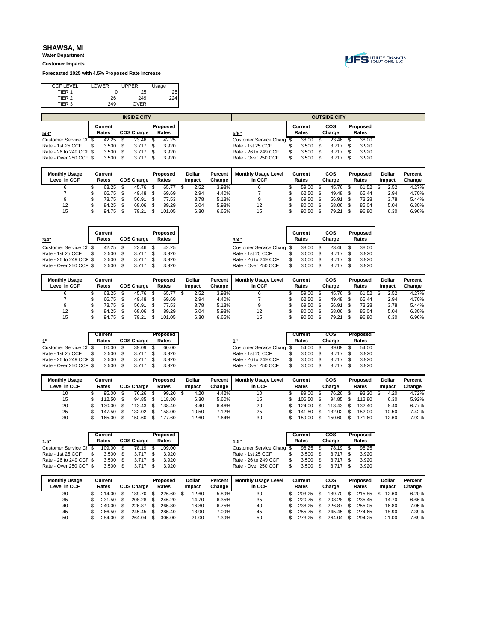**Water Department Customer Impacts**

**Forecasted 2025 with 4.5% Proposed Rate Increase**



| <b>CCF LEVEL</b>  | LOWER | <b>UPPER</b> | Usage |
|-------------------|-------|--------------|-------|
| TIER 1            |       | 25           | 25    |
| TIER <sub>2</sub> | 26    | 249          | 224.  |
| TIER 3            | 249   | <b>OVER</b>  |       |
|                   |       |              |       |

|                         |         |      | <b>INSIDE CITY</b> |          |                           |         | <b>OUTSIDE CITY</b> |          |
|-------------------------|---------|------|--------------------|----------|---------------------------|---------|---------------------|----------|
|                         | Current |      |                    | Proposed |                           | Current | cos                 | Proposed |
| 5/8"                    | Rates   |      | <b>COS Charge</b>  | Rates    | 5/8"                      | Rates   | Charge              | Rates    |
| Customer Service Ch \$  | 42.25   |      | 23.46              | 42.25    | Customer Service Charg \$ | 38.00   | 23.46               | 38.00    |
| Rate - 1st 25 CCF       | 3.500   | - \$ | 3.717              | 3.920    | Rate - 1st 25 CCF         | 3.500   | 3.717               | 3.920    |
| Rate - 26 to 249 CCF \$ | 3.500   |      | 3.717              | 3.920    | Rate - 26 to 249 CCF      | 3.500   | 3.717               | 3.920    |
| Rate - Over 250 CCF \$  | 3.500   |      | 3.717              | 3.920    | Rate - Over 250 CCF       | 3.500   | 3.717               | 3.920    |
|                         |         |      |                    |          |                           |         |                     |          |

| <b>Monthly Usage</b><br>Level in CCF | Current<br>Rates | <b>COS Charge</b> | Proposed<br>Rates | <b>Dollar</b><br>Impact | Percent<br>Change | <b>Monthly Usage Level</b><br>in CCF | Current<br>Rates |     | cos<br>Charge | Proposed<br>Rates | <b>Dollar</b><br>Impact | Percent<br>Change |
|--------------------------------------|------------------|-------------------|-------------------|-------------------------|-------------------|--------------------------------------|------------------|-----|---------------|-------------------|-------------------------|-------------------|
|                                      | 63.25            | 45.76             | 65.77             | 2.52                    | 3.98%             |                                      | 59.00            |     | 45.76         | 61.52             | 2.52                    | 4.27%             |
|                                      | 66.75            | 49.48             | 69.69             | 2.94                    | 4.40%             |                                      | 62.50            | \$. | 49.48         | 65.44             | 2.94                    | 4.70%             |
| 9                                    | 73.75            | 56.91             | 77.53             | 3.78                    | 5.13%             |                                      | 69.50            |     | 56.91         | 73.28             | 3.78                    | 5.44%             |
| 12                                   | 84.25            | 68.06             | 89.29             | 5.04                    | 5.98%             | 12                                   | 80.00            | \$. | 68.06         | 85.04             | 5.04                    | 6.30%             |
| 15                                   | 94.75            | 79.21             | 101.05            | 6.30                    | 6.65%             | 15                                   | 90.50            |     | 79.21         | 96.80             | 6.30                    | 6.96%             |

| 3/4"                              | Current<br>Rates       | <b>COS Charge</b>   | Proposed<br>Rates       |                                  |         | 3/4"                                           | Current<br>Rates       | cos<br>Charge | Proposed<br>Rates       |  |
|-----------------------------------|------------------------|---------------------|-------------------------|----------------------------------|---------|------------------------------------------------|------------------------|---------------|-------------------------|--|
| Customer Service Ch \$            | 42.25                  | 23.46               | 42.25                   |                                  |         | Customer Service Charg \$                      | 38.00                  | 23.46         | 38.00                   |  |
| Rate - 1st 25 CCF                 | 3.500                  | 3.717               | 3.920                   |                                  |         | Rate - 1st 25 CCF                              | 3.500                  | 3.717         | 3.920                   |  |
| Rate - 26 to 249 CCF \$           | 3.500                  | 3.717               | 3.920                   |                                  |         | Rate - 26 to 249 CCF                           | 3.500                  | 3.717         | 3.920                   |  |
| Rate - Over 250 CCF \$            | 3.500                  | 3.717               | 3.920                   |                                  |         | Rate - Over 250 CCF                            | 3.500                  | 3.717         | 3.920                   |  |
| <b>Monthly Usage</b><br>1.111.000 | Current<br>$P = 1 - 1$ | <b>000.01-1-1-1</b> | Proposed<br>$P = 1 - 1$ | <b>Dollar</b><br>$1.22.22 - 2.1$ | Percent | <b>Monthly Usage Level</b><br>$\sim$ 00 $\sim$ | Current<br>$P = 1 - 1$ | cos           | Proposed<br>$P = 1 - 1$ |  |

| <b>Monthly Usage</b> | Current |                   | Proposed | <b>Dollar</b> | Percent | <b>Monthly Usage Level</b> | Current | cos    | Proposed  | <b>Dollar</b> | Percent |
|----------------------|---------|-------------------|----------|---------------|---------|----------------------------|---------|--------|-----------|---------------|---------|
| Level in CCF         | Rates   | <b>COS Charge</b> | Rates    | Impact        | Change  | in CCF                     | Rates   | Charge | Rates     | Impact        | Change  |
|                      | 63.25   | 45.76             | 65.77    | 2.52          | 3.98%   |                            | 59.00   | 45.76  | .52<br>61 | 2.52          | 4.27%   |
|                      | 66.75   | 49.48             | 69.69    | 2.94          | 4.40%   |                            | 62.50   | 49.48  | 65.44     | 2.94          | 4.70%   |
|                      | 73.75   | 56.91             | 77.53    | 3.78          | 5.13%   |                            | 69.50   | 56.91  | 73.28     | 3.78          | 5.44%   |
| 12                   | 84.25   | 68.06             | 89.29    | 5.04          | 5.98%   | 12                         | 80.00   | 68.06  | 85.04     | 5.04          | 6.30%   |
| 15                   | 94.75   | 79.21             | 101.05   | 6.30          | 6.65%   | 15                         | 90.50   | 79.21  | 96.80     | 6.30          | 6.96%   |

|                         | Current |                   | Proposed |                           | Current | cos    | Proposed |
|-------------------------|---------|-------------------|----------|---------------------------|---------|--------|----------|
|                         | Rates   | <b>COS Charge</b> | Rates    |                           | Rates   | Charge | Rates    |
| Customer Service Ch \$  | 60.00   | $39.09$ \$        | 60.00    | Customer Service Charg \$ | 54.00   | 39.09  | 54.00    |
| Rate - 1st 25 CCF       | 3.500   | $3.717$ \$        | 3.920    | Rate - 1st 25 CCF         | 3.500   | 3.717  | 3.920    |
| Rate - 26 to 249 CCF \$ | 3.500   | $3.717$ \$        | 3.920    | Rate - 26 to 249 CCF      | 3.500   | 3.717  | 3.920    |
| Rate - Over 250 CCF \$  | 3.500   | $3.717$ \$        | 3.920    | Rate - Over 250 CCF       | 3.500   | 3.717  | 3.920    |

| <b>Monthly Usage</b> | Current |                   | Proposed | Dollar | Percent | <b>Monthly Usage Level</b> | Current | cos    | Proposed | <b>Dollar</b> | Percent |
|----------------------|---------|-------------------|----------|--------|---------|----------------------------|---------|--------|----------|---------------|---------|
| Level in CCF         | Rates   | <b>COS Charge</b> | Rates    | Impact | Change  | in CCF                     | Rates   | Charge | Rates    | Impact        | Change  |
| 10                   | 95.00   | 76.26             | 99.20    | 4.20   | 4.42%   | 10                         | 89.00   | 76.26  | 93.20    | 4.20          | 4.72%   |
| 15                   | 112.50  | 94.85             | 118.80   | 6.30   | 5.60%   | 15                         | 106.50  | 94.85  | 112.80   | 6.30          | 5.92%   |
| 20                   | 130.00  | $113.43$ \$       | 138.40   | 8.40   | 6.46%   | 20                         | 124.00  | 113.43 | 132.40   | 8.40          | 6.77%   |
| 25                   | 147.50  | 132.02            | 158.00   | 10.50  | 7.12%   | 25                         | 141.50  | 132.02 | 152.00   | 10.50         | 7.42%   |
| 30                   | 165.00  | 150.60            | 177.60   | 12.60  | 7.64%   | 30                         | 159.00  | 150.60 | 171.60   | 12.60         | 7.92%   |

| cos<br>Proposed<br>Current                           | Proposed |                   | Current |                         |
|------------------------------------------------------|----------|-------------------|---------|-------------------------|
| Charge<br>Rates<br>Rates<br>1.5"                     | Rates    | <b>COS Charge</b> | Rates   | 1.5"                    |
| Customer Service Charg \$<br>98.25<br>98.25<br>78.19 | 109.00   | 78.19 \$          | 109.00  | Customer Service Ch \$  |
| Rate - 1st 25 CCF<br>3.500<br>3.920<br>3.717         | 3.920    | $3.717$ \$        | 3.500   | Rate - 1st 25 CCF       |
| Rate - 26 to 249 CCF<br>3.500<br>3.920<br>3.717      | 3.920    | $3.717$ \$        | 3.500   | Rate - 26 to 249 CCF \$ |
| Rate - Over 250 CCF<br>3.500<br>3.920<br>3.717       | 3.920    | $3.717$ \$        | 3.500   |                         |
|                                                      |          |                   |         | Rate - Over 250 CCF \$  |

| <b>Monthly Usage</b><br>Level in CCF | Current<br>Rates | COS Charge | Proposed<br>Rates | <b>Dollar</b><br>Impact | Percent<br>Change | <b>Monthly Usage Level</b><br>in CCF | Current<br>Rates | cos<br>Charge | Proposed<br>Rates | <b>Dollar</b><br>Impact | Percent<br>Change |
|--------------------------------------|------------------|------------|-------------------|-------------------------|-------------------|--------------------------------------|------------------|---------------|-------------------|-------------------------|-------------------|
| 30                                   | 214.00           | 189.70     | 226.60            | 12.60                   | 5.89%             | 30                                   | 203.25           | 189.70        | 215.85            | 12.60                   | 6.20%             |
| 35                                   | 231.50           | 208.28     | 246.20            | 14.70                   | 6.35%             | 35                                   | 220.75           | 208.28        | 235.45            | 14.70                   | 6.66%             |
| 40                                   | 249.00           | 226.87     | 265.80            | 16.80                   | 6.75%             | 40                                   | 238.25           | 226.87        | 255.05            | 16.80                   | 7.05%             |
| 45                                   | 266.50           | 245.45     | 285.40            | 18.90                   | 7.09%             | 45                                   | 255.75           | 245.45        | 274.65            | 18.90                   | 7.39%             |
| 50                                   | 284.00           | 264.04     | 305.00            | 21.00                   | 7.39%             | 50                                   | 273.25           | 264.04        | 294.25            | 21.00                   | 7.69%             |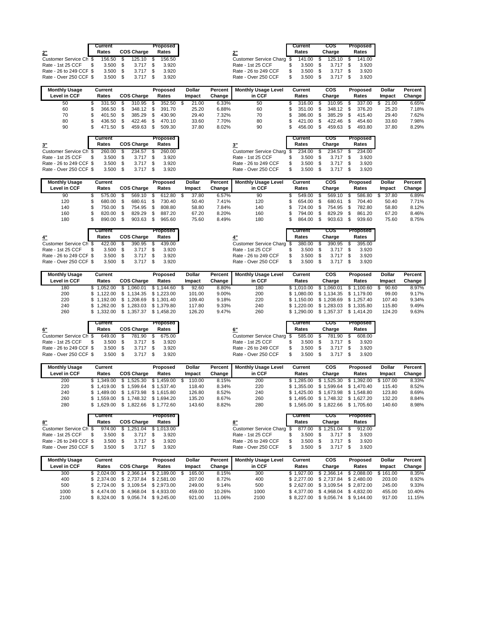|                         | Current    |                   | Proposed |                           | Current   | cos    | Proposed |
|-------------------------|------------|-------------------|----------|---------------------------|-----------|--------|----------|
| 2"                      | Rates      | <b>COS Charge</b> | Rates    | 2"                        | Rates     | Charge | Rates    |
| Customer Service Ch \$  | 156.50     | $125.10$ \$       | 156.50   | Customer Service Charg \$ | 141.00 \$ | 125.10 | 141.00   |
| Rate - 1st 25 CCF       | 3.500      | $3.717$ \$        | 3.920    | Rate - 1st 25 CCF         | 3.500     | 3.717  | 3.920    |
| Rate - 26 to 249 CCF \$ | $3.500$ \$ | $3.717$ \$        | 3.920    | Rate - 26 to 249 CCF      | 3.500     | 3.717  | 3.920    |
| Rate - Over 250 CCF \$  | $3.500$ \$ | $3.717$ \$        | 3.920    | Rate - Over 250 CCF       | 3.500     | 3.717  | 3.920    |

| <b>Monthly Usage</b> | Current     |                   | Proposed | Dollar | Percent | <b>Monthly Usage Level</b> | Current | cos    | Proposed | <b>Dollar</b> | Percent |
|----------------------|-------------|-------------------|----------|--------|---------|----------------------------|---------|--------|----------|---------------|---------|
| Level in CCF         | Rates       | <b>COS Charge</b> | Rates    | Impact | Change  | in CCF                     | Rates   | Charge | Rates    | Impact        | Change  |
| 50                   | 331.50      | 310.95            | 352.50   | 21.00  | 6.33%   | 50                         | 316.00  | 310.95 | 337.00   | 21.00         | 6.65%   |
| 60                   | 366.50 \$   | 348.12 \$         | 391.70   | 25.20  | 6.88%   | 60                         | 351.00  | 348.12 | 376.20   | 25.20         | 7.18%   |
| 70                   | $401.50$ \$ | 385.29            | 430.90   | 29.40  | 7.32%   | 70                         | 386.00  | 385.29 | 415.40   | 29.40         | 7.62%   |
| 80                   | 436.50      | 422.46            | 470.10   | 33.60  | 7.70%   | 80                         | 421.00  | 422.46 | 454.60   | 33.60         | 7.98%   |
| 90                   | 471.50      | 459.63            | 509.30   | 37.80  | 8.02%   | 90                         | 456.00  | 459.63 | 493.80   | 37.80         | 8.29%   |

|                         | Current    |                   | Proposed |
|-------------------------|------------|-------------------|----------|
|                         | Rates      | <b>COS Charge</b> | Rates    |
| Customer Service Ch \$  | 260.00 \$  | 234.57            | 260.00   |
| Rate - 1st 25 CCF       | $3.500$ \$ | $3.717$ \$        | 3.920    |
| Rate - 26 to 249 CCF \$ | $3.500$ \$ | 3.717 \$          | 3.920    |
| Rate - Over 250 CCF \$  | $3.500$ \$ | 3.717             | 3.920    |

|                               |    | TUU.UU           |     | -----         |    | TUU.UU            |
|-------------------------------|----|------------------|-----|---------------|----|-------------------|
| 3"                            |    | Current<br>Rates |     | cos<br>Charge |    | Proposed<br>Rates |
| <b>Customer Service Charg</b> |    | 234.00           | \$  | 234.57        |    | 234.00            |
| Rate - 1st 25 CCF             |    | 3.500            | \$. | 3.717         | S. | 3.920             |
| Rate - 26 to 249 CCF          | S. | 3.500            | \$  | 3.717         |    | 3.920             |
| Rate - Over 250 CCF           | S  | 3.500            | \$. | 3.717         |    | 3.920             |

| <b>Monthly Usage</b><br>Level in CCF | Current<br>Rates | <b>COS Charge</b> |      | Proposed<br>Rates | Dollar<br>Impact | Percent<br>Change | <b>Monthly Usage Level</b><br>in CCF | Current<br>Rates | cos<br>Charge | Proposed<br>Rates | Dollar<br>Impact | Percent<br>Change |
|--------------------------------------|------------------|-------------------|------|-------------------|------------------|-------------------|--------------------------------------|------------------|---------------|-------------------|------------------|-------------------|
| 90                                   | 575.00           | 569.10            | - \$ | 612.80            | 37.80            | 6.57%             | 90                                   | 549.00           | 569.10        | 586.80            | 37.80            | 6.89%             |
| 120                                  | 680.00 \$        | 680.61            |      | 730.40            | 50.40            | 7.41%             | 120                                  | 654.00           | 680.61        | 704.40            | 50.40            | 7.71%             |
| 140                                  | 750.00           | 754.95 \$         |      | 808.80            | 58.80            | 7.84%             | 140                                  | 724.00           | 754.95        | 782.80            | 58.80            | 8.12%             |
| 160                                  | 820.00           | 829.29            |      | 887.20            | 67.20            | 8.20%             | 160                                  | 794.00           | 829.29        | 861.20            | 67.20            | 8.46%             |
| 180                                  | 890.00           | 903.63            |      | 965.60            | 75.60            | 8.49%             | 180                                  | 864.00           | 903.63        | 939.60            | 75.60            | 8.75%             |

|                         | Current    |                   | Proposed |                           | Current    |      | cos        | Proposed |
|-------------------------|------------|-------------------|----------|---------------------------|------------|------|------------|----------|
|                         | Rates      | <b>COS Charge</b> | Rates    |                           | Rates      |      | Charge     | Rates    |
| Customer Service Ch \$  | 422.00 \$  | 390.95 \$         | 439.00   | Customer Service Charg \$ | 380.00 \$  |      | 390.95 \$  | 395.00   |
| Rate - 1st 25 CCF       | $3.500$ \$ | $3.717$ \$        | 3.920    | Rate - 1st 25 CCF         | 3.500      | - \$ | $3.717$ \$ | 3.920    |
| Rate - 26 to 249 CCF \$ | $3.500$ \$ | $3.717$ \$        | 3.920    | Rate - 26 to 249 CCF      | 3.500      |      | $3.717$ \$ | 3.920    |
| Rate - Over 250 CCF \$  | $3.500$ \$ | $3.717$ \$        | 3.920    | Rate - Over 250 CCF       | $3.500$ \$ |      | $3.717$ \$ | 3.920    |
|                         |            |                   |          |                           |            |      |            |          |

| <b>Monthly Usage</b> | Current           |                                             | Proposed             | Dollar | Percent | <b>Monthly Usage Level</b> | Current    | cos                   | Proposed   | <b>Dollar</b> | Percent |
|----------------------|-------------------|---------------------------------------------|----------------------|--------|---------|----------------------------|------------|-----------------------|------------|---------------|---------|
| Level in CCF         | Rates             | <b>COS Charge</b>                           | Rates                | Impact | Change  | in CCF                     | Rates      | Charge                | Rates      | Impact        | Change  |
| 180                  | \$1.052.00        | .060.01                                     | \$1.144.60           | 92.60  | 8.80%   | 180                        | \$1.010.00 | \$1.060.01            | \$1.100.60 | 90.60         | 8.97%   |
| 200                  |                   | $$1.122.00 \quad $1.134.35 \quad $1.223.00$ |                      | 101.00 | 9.00%   | 200                        | \$1.080.00 | \$1.134.35 \$1.179.00 |            | 99.00         | 9.17%   |
| 220                  |                   | \$1.192.00 \$1.208.69 \$1.301.40            |                      | 109.40 | 9.18%   | 220                        | \$1.150.00 | \$1.208.69            | \$1.257.40 | 107.40        | 9.34%   |
| 240                  | \$1.262.00        | \$1                                         | 1.283.03 \$1.379.80  | 117.80 | 9.33%   | 240                        | \$1.220.00 | \$1.283.03            | \$1.335.80 | 115.80        | 9.49%   |
| 260                  | $$1.332.00$ $$1.$ |                                             | 1.357.37 \$ 1.458.20 | 126.20 | 9.47%   | 260                        | \$1.290.00 | \$1.357.37            | \$1.414.20 | 124.20        | 9.63%   |

|                         | Current |                   | Proposed |  |
|-------------------------|---------|-------------------|----------|--|
| 6"                      | Rates   | <b>COS Charge</b> | Rates    |  |
| Customer Service Ch \$  | 649.00  | 781.90            | 675.00   |  |
| Rate - 1st 25 CCF       | 3.500   | 3.717             | 3.920    |  |
| Rate - 26 to 249 CCF \$ | 3.500   | 3.717             | 3.920    |  |
| Rate - Over 250 CCF \$  | 3.500   | 3.717             | 3.920    |  |

|                         | Current    |                   | Proposed |
|-------------------------|------------|-------------------|----------|
|                         | Rates      | <b>COS Charge</b> | Rates    |
| Customer Service Ch \$  | 649.00 \$  | 781.90 \$         | 675.00   |
| Rate - 1st 25 CCF       | $3.500$ \$ | $3.717$ \$        | 3.920    |
| Rate - 26 to 249 CCF \$ | $3.500$ \$ | 3.717             | 3.920    |
| Rate - Over 250 CCF \$  | $3.500$ \$ | $3.717$ \$        | 3.920    |

| <b>Monthly Usage</b><br>Level in CCF | Current<br>Rates | <b>COS Charge</b>                | Proposed<br>Rates | Dollar<br>Impact | Percent<br>Change | <b>Monthly Usage Level</b><br>in CCF | Current<br>Rates | cos<br>Charge                    | Proposed<br>Rates   | <b>Dollar</b><br>Impact | Percent<br>Change |
|--------------------------------------|------------------|----------------------------------|-------------------|------------------|-------------------|--------------------------------------|------------------|----------------------------------|---------------------|-------------------------|-------------------|
| 200                                  |                  | 1.349.00 \$ 1.525.30 \$ 1.459.00 |                   | 110.00           | 8.15%             | 200                                  | \$1.285.00       | \$1.525.30                       | \$1.392.00 \$107.00 |                         | 8.33%             |
| 220                                  |                  | \$1.419.00 \$1.599.64 \$1.537.40 |                   | 118.40           | 8.34%             | 220                                  | \$1.355.00       | \$1.599.64                       | \$1.470.40          | 115.40                  | 8.52%             |
| 240                                  |                  | \$1.489.00 \$1.673.98 \$1.615.80 |                   | 126.80           | 8.52%             | 240                                  |                  | \$1.425.00 \$1.673.98 \$1.548.80 |                     | 123.80                  | 8.69%             |
| 260                                  |                  | \$1.559.00 \$1.748.32 \$1.694.20 |                   | 135.20           | 8.67%             | 260                                  | \$1.495.00       | \$1.748.32 \$1.627.20            |                     | 132.20                  | 8.84%             |
| 280                                  | .629.00          | \$1.822.66                       | \$1.772.60        | 143.60           | 8.82%             | 280                                  | \$1.565.00       | \$1.822.66                       | \$1.705.60          | 140.60                  | 8.98%             |

|                                                       | Current    |                   | Proposed 1 |                                               |    | Current |              | cos        | Proposed |
|-------------------------------------------------------|------------|-------------------|------------|-----------------------------------------------|----|---------|--------------|------------|----------|
| 8"                                                    | Rates      | <b>COS Charge</b> | Rates      |                                               |    | Rates   |              | Charge     | Rates    |
| Customer Service Ch \$ 974.00 \$ 1.251.04 \$ 1.013.00 |            |                   |            | Customer Service Charg \$877.00 \$1,251.04 \$ |    |         |              |            | 912.00   |
| Rate - 1st 25 CCF                                     | $3.500$ \$ | $3.717$ \$        | 3.920      | Rate - 1st 25 CCF                             |    | 3.500   | $\mathbf{s}$ | $3.717$ \$ | 3.920    |
| Rate - 26 to 249 CCF \$                               | $3.500$ \$ | $3.717$ \$        | 3.920      | Rate - 26 to 249 CCF                          | S. | 3.500   | - S          | $3.717$ \$ | 3.920    |
| Rate - Over 250 CCF \$                                |            | 3.500 \$ 3.717 \$ | 3.920      | Rate - Over 250 CCF                           |    | 3.500   |              | $3.717$ \$ | 3.920    |

| <b>Monthly Usage</b> | Current |                                                     | Proposed | Dollar | Percent | <b>Monthly Usage Level</b> | Current | cos                              | Proposed   | Dollar   | Percent |
|----------------------|---------|-----------------------------------------------------|----------|--------|---------|----------------------------|---------|----------------------------------|------------|----------|---------|
| Level in CCF         | Rates   | <b>COS Charge</b>                                   | Rates    | Impact | Change  | in CCF                     | Rates   | Charge                           | Rates      | Impact   | Change  |
| 300                  |         | $$2.024.00 \quad $2.366.14 \quad $2.189.00 \quad $$ |          | 165.00 | 8.15%   | 300                        |         | \$1.927.00 \$2.366.14 \$2.088.00 |            | \$161.00 | 8.35%   |
| 400                  |         | \$2.374.00 \$2.737.84 \$2.581.00                    |          | 207.00 | 8.72%   | 400                        |         | \$2.277.00 \$2.737.84 \$2.480.00 |            | 203.00   | 8.92%   |
| 500                  |         | \$ 2.724.00 \$ 3.109.54 \$ 2.973.00                 |          | 249.00 | 9.14%   | 500                        |         | \$2.627.00 \$3.109.54 \$2.872.00 |            | 245.00   | 9.33%   |
| 1000                 |         | $$4.474.00 \quad $4.968.04 \quad $4.933.00$         |          | 459.00 | 10.26%  | 1000                       |         | \$4.377.00 \$4.968.04            | \$4.832.00 | 455.00   | 10.40%  |
| 2100                 |         | $$8.324.00 \quad $9.056.74 \quad $9.245.00$         |          | 921.00 | 11.06%  | 2100                       |         | \$8.227.00 \$9.056.74 \$9.144.00 |            | 917.00   | 11.15%  |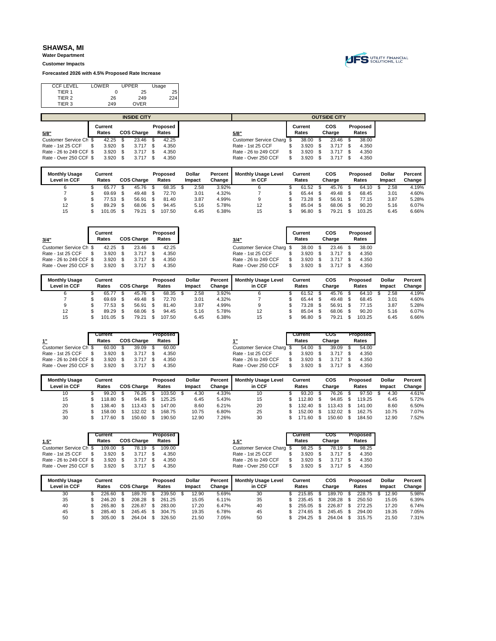**Water Department Customer Impacts**

**Forecasted 2026 with 4.5% Proposed Rate Increase**



| <b>CCF LEVEL</b>  | LOWER | <b>UPPER</b> | Usage |
|-------------------|-------|--------------|-------|
| TIER 1            |       | 25           | 25    |
| TIER <sub>2</sub> | 26    | 249          | 224.  |
| TIER 3            | 249   | <b>OVER</b>  |       |
|                   |       |              |       |

|                         |         | <b>INSIDE CITY</b> |          |                           |         | <b>OUTSIDE CITY</b> |          |
|-------------------------|---------|--------------------|----------|---------------------------|---------|---------------------|----------|
|                         | Current |                    | Proposed |                           | Current | cos                 | Proposed |
| 5/8"                    | Rates   | <b>COS Charge</b>  | Rates    | 5/8"                      | Rates   | Charge              | Rates    |
| Customer Service Ch \$  | 42.25   | 23.46              | 42.25    | Customer Service Charg \$ | 38.00   | 23.46               | 38.00    |
| Rate - 1st 25 CCF       | 3.920   | $3.717$ \$         | 4.350    | Rate - 1st 25 CCF         | 3.920   | 3.717               | 4.350    |
| Rate - 26 to 249 CCF \$ | 3.920   | $3.717$ \$         | 4.350    | Rate - 26 to 249 CCF      | 3.920   | 3.717               | 4.350    |
| Rate - Over 250 CCF \$  | 3.920   | $3.717$ \$         | 4.350    | Rate - Over 250 CCF       | 3.920   | 3.717               | 4.350    |
|                         |         |                    |          |                           |         |                     |          |

| <b>Monthly Usage</b><br>Level in CCF | Current<br>Rates | <b>COS Charge</b> | Proposed<br>Rates | <b>Dollar</b><br>Impact | Percent<br>Change | <b>Monthly Usage Level</b><br>in CCF | <b>Current</b><br>Rates | cos<br>Charge | Proposed<br>Rates | Dollar<br>Impact | Percent<br>Change |
|--------------------------------------|------------------|-------------------|-------------------|-------------------------|-------------------|--------------------------------------|-------------------------|---------------|-------------------|------------------|-------------------|
|                                      | 65.7             | 45.76             | 68.35             | 2.58                    | 3.92%             |                                      | 61.52                   | 45.76         | 64.10             | 2.58             | 4.19%             |
|                                      | 69.69            | 49.48             | 72.70             | 3.01                    | 4.32%             |                                      | 65.44                   | 49.48         | 68.45             | 3.01             | 4.60%             |
| 9                                    | 77.53            | 56.91             | 81.40             | 3.87                    | 4.99%             |                                      | 73.28                   | 56.91         | 77.15             | 3.87             | 5.28%             |
| 12                                   | 89.29            | 68.06             | 94.45             | 5.16                    | 5.78%             | 12                                   | 85.04                   | 68.06         | 90.20             | 5.16             | 6.07%             |
| 15                                   | 101.05           | 79.21             | 107.50            | 6.45                    | 6.38%             | 15                                   | 96.80                   | 79.21         | 103.25            | 6.45             | 6.66%             |

| 3/4"                    | Current<br>Rates | <b>COS Charge</b> | Proposed<br>Rates |               |         | 3/4"                       | Current<br>Rates | cos<br>Charge | Proposed<br>Rates |
|-------------------------|------------------|-------------------|-------------------|---------------|---------|----------------------------|------------------|---------------|-------------------|
| Customer Service Ch \$  | 42.25            | 23.46             | 42.25             |               |         | Customer Service Charg \$  | 38.00            | 23.46         | 38.00             |
| Rate - 1st 25 CCF       | 3.920            | $3.717$ \$        | 4.350             |               |         | Rate - 1st 25 CCF          | 3.920            | 3.717         | 4.350             |
| Rate - 26 to 249 CCF \$ | 3.920            | $3.717$ \$        | 4.350             |               |         | Rate - 26 to 249 CCF       | 3.920            | 3.717         | 4.350             |
| Rate - Over 250 CCF \$  | 3.920            | $3.717$ \$        | 4.350             |               |         | Rate - Over 250 CCF        | 3.920            | 3.717         | 4.350             |
| <b>Monthly Usage</b>    | Current          |                   | Proposed          | <b>Dollar</b> | Percent | <b>Monthly Usage Level</b> | Current          | cos           | Proposed          |

| <b>Monthly Usage</b> | Current |                   | Proposed | Dollar | Percent | <b>Monthly Usage Level</b> | Current | cos    | Proposed | <b>Dollar</b> | Percent |
|----------------------|---------|-------------------|----------|--------|---------|----------------------------|---------|--------|----------|---------------|---------|
| Level in CCF         | Rates   | <b>COS Charge</b> | Rates    | Impact | Change  | in CCF                     | Rates   | Charge | Rates    | Impact        | Change  |
|                      | 65.77   | 45.76             | 68.35    | 2.58   | 3.92%   |                            | 61.52   | 45.76  | 64.10    | 2.58          | 4.19%   |
|                      | 69.69   | 49.48             | 72.70    | 3.01   | 4.32%   |                            | 65.44   | 49.48  | 68.45    | 3.01          | 4.60%   |
|                      | 77.53   | 56.91             | 81.40    | 3.87   | 4.99%   |                            | 73.28   | 56.91  | 77.15    | 3.87          | 5.28%   |
| 12                   | 89.29   | 68.06             | 94.45    | 5.16   | 5.78%   | 12                         | 85.04   | 68.06  | 90.20    | 5.16          | 6.07%   |
| 15                   | 101.05  | 79.21             | 107.50   | 6.45   | 6.38%   | 15                         | 96.80   | 79.21  | 103.25   | 6.45          | 6.66%   |

|                         | Current |                   | Proposed |                           | Current | cos    | Proposed |       |
|-------------------------|---------|-------------------|----------|---------------------------|---------|--------|----------|-------|
| 1"                      | Rates   | <b>COS Charge</b> | Rates    |                           | Rates   | Charge |          | Rates |
| Customer Service Ch \$  | 60.00   | $39.09$ \$        | 60.00    | Customer Service Charg \$ | 54.00   | 39.09  |          |       |
| Rate - 1st 25 CCF       | 3.920   | $3.717$ \$        | 4.350    | Rate - 1st 25 CCF         | 3.920   | 3.717  |          | 4.350 |
| Rate - 26 to 249 CCF \$ | 3.920   | $3.717$ \$        | 4.350    | Rate - 26 to 249 CCF      | 3.920   | 3.717  |          | 4.350 |
| Rate - Over 250 CCF \$  | 3.920   | $3.717$ \$        | 4.350    | Rate - Over 250 CCF       | 3.920   | 3.717  |          | 4.350 |

| <b>Monthly Usage</b> | Current |                   | Proposed | <b>Dollar</b> | Percent | <b>Monthly Usage Level</b> | Current | cos    | Proposed | Dollar | Percent |
|----------------------|---------|-------------------|----------|---------------|---------|----------------------------|---------|--------|----------|--------|---------|
| Level in CCF         | Rates   | <b>COS Charge</b> | Rates    | Impact        | Change  | in CCF                     | Rates   | Charge | Rates    | Impact | Change  |
| 10                   | 99.20   | 76.26             | 103.50   | 4.30          | 4.33%   | 10                         | 93.20   | 76.26  | 97.50    | 4.30   | 4.61%   |
| 15                   | 118.80  | 94.85             | 125.25   | 6.45          | 5.43%   | 15                         | 112.80  | 94.85  | 119.25   | 6.45   | 5.72%   |
| 20                   | 138.40  | $113.43$ \$       | 147.00   | 8.60          | 6.21%   | 20                         | 132.40  | 113.43 | 141.00   | 8.60   | 6.50%   |
| 25                   | 158.00  | 132.02            | 168.75   | 10.75         | 6.80%   | 25                         | 152.00  | 132.02 | 162.75   | 10.75  | 7.07%   |
| 30                   | 177.60  | 150.60            | 190.50   | 12.90         | 7.26%   | 30                         | 171.60  | 150.60 | 184.50   | 12.90  | 7.52%   |

| <b>COS Charge</b><br>Rates        | 1.5"                 | Rates |                           | Charge                           | Rates |
|-----------------------------------|----------------------|-------|---------------------------|----------------------------------|-------|
| 78.19 \$<br>109.00                |                      |       |                           | 78.19                            | 98.25 |
| $3.717$ \$<br>4.350               | Rate - 1st 25 CCF    |       |                           | 3.717                            | 4.350 |
| $3.717$ \$<br>4.350               | Rate - 26 to 249 CCF |       |                           | 3.717                            | 4.350 |
| $3.920$ \$<br>$3.717$ \$<br>4.350 | Rate - Over 250 CCF  |       |                           | 3.717                            | 4.350 |
|                                   |                      |       | Customer Service Charg \$ | 98.25<br>3.920<br>3.920<br>3.920 |       |

| <b>Monthly Usage</b><br>Level in CCF | Current<br>Rates | <b>COS Charge</b> | Proposed<br>Rates | <b>Dollar</b><br>Impact | Percent<br>Change | <b>Monthly Usage Level</b><br>in CCF | Current<br>Rates | cos<br>Charge | Proposed<br>Rates | Dollar<br>Impact | Percent<br>Change |
|--------------------------------------|------------------|-------------------|-------------------|-------------------------|-------------------|--------------------------------------|------------------|---------------|-------------------|------------------|-------------------|
| 30                                   | 226.60           | 189.70            | 239.50            | 12.90                   | 5.69%             | 30                                   | 215.85           | 189.70        | 228.75            | 12.90            | 5.98%             |
| 35                                   | 246.20           | 208.28            | 261.25            | 15.05                   | 6.11%             | 35                                   | 235.45           | 208.28        | 250.50            | 15.05            | 6.39%             |
| 40                                   | 265.80           | 226.87            | 283.00            | 17.20                   | 6.47%             | 40                                   | 255.05           | 226.87        | 272.25            | 17.20            | 6.74%             |
| 45                                   | 285.40           | 245.45            | 304.75            | 19.35                   | 6.78%             | 45                                   | 274.65           | 245.45        | 294.00            | 19.35            | 7.05%             |
| 50                                   | 305.00           | 264.04            | 326.50            | 21.50                   | 7.05%             | 50                                   | 294.25           | 264.04        | 315.75            | 21.50            | 7.31%             |